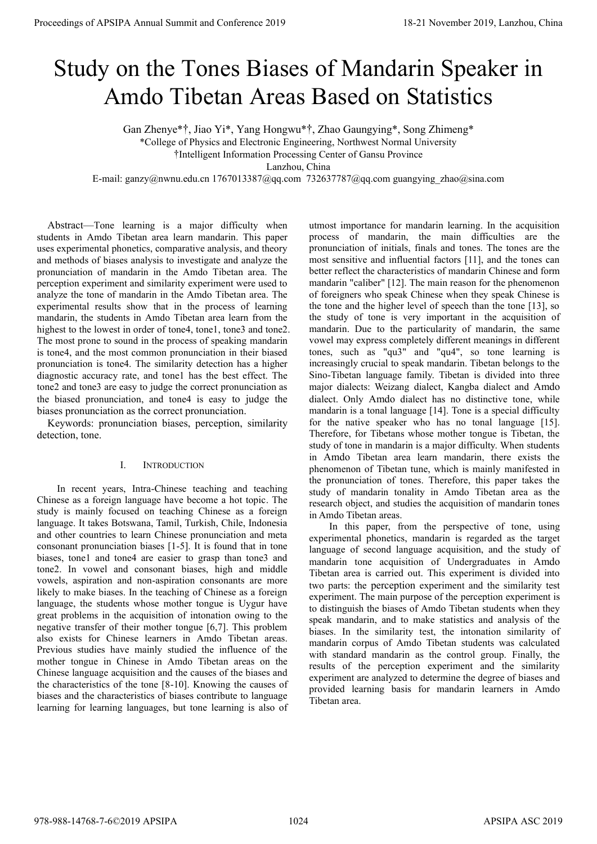# Study on the Tones Biases of Mandarin Speaker in Amdo Tibetan Areas Based on Statistics

Gan Zhenye\*†, Jiao Yi\*, Yang Hongwu\*†, Zhao Gaungying\*, Song Zhimeng\*

\*College of Physics and Electronic Engineering, Northwest Normal University

†Intelligent Information Processing Center of Gansu Province

Lanzhou, China

E-mail: ganzy@nwnu.edu.cn 1767013387@qq.com 732637787@qq.com guangying\_zhao@sina.com

Abstract—Tone learning is a major difficulty when students in Amdo Tibetan area learn mandarin. This paper uses experimental phonetics, comparative analysis, and theory and methods of biases analysis to investigate and analyze the pronunciation of mandarin in the Amdo Tibetan area. The perception experiment and similarity experiment were used to analyze the tone of mandarin in the Amdo Tibetan area. The experimental results show that in the process of learning mandarin, the students in Amdo Tibetan area learn from the highest to the lowest in order of tone4, tone1, tone3 and tone2. The most prone to sound in the process of speaking mandarin is tone4, and the most common pronunciation in their biased pronunciation is tone4. The similarity detection has a higher diagnostic accuracy rate, and tone1 has the best effect. The tone2 and tone3 are easy to judge the correct pronunciation as the biased pronunciation, and tone4 is easy to judge the biases pronunciation as the correct pronunciation.

Keywords: pronunciation biases, perception, similarity detection, tone.

# I. INTRODUCTION

In recent years, Intra-Chinese teaching and teaching Chinese as a foreign language have become a hot topic. The study is mainly focused on teaching Chinese as a foreign language. It takes Botswana, Tamil, Turkish, Chile, Indonesia and other countries to learn Chinese pronunciation and meta consonant pronunciation biases [1-5]. It is found that in tone biases, tone1 and tone4 are easier to grasp than tone3 and tone2. In vowel and consonant biases, high and middle vowels, aspiration and non-aspiration consonants are more likely to make biases. In the teaching of Chinese as a foreign language, the students whose mother tongue is Uygur have great problems in the acquisition of intonation owing to the negative transfer of their mother tongue [6,7]. This problem also exists for Chinese learners in Amdo Tibetan areas. Previous studies have mainly studied the influence of the mother tongue in Chinese in Amdo Tibetan areas on the Chinese language acquisition and the causes of the biases and the characteristics of the tone [8-10]. Knowing the causes of biases and the characteristics of biases contribute to language learning for learning languages, but tone learning is also of

utmost importance for mandarin learning. In the acquisition process of mandarin, the main difficulties are the pronunciation of initials, finals and tones. The tones are the most sensitive and influential factors [11], and the tones can better reflect the characteristics of mandarin Chinese and form mandarin "caliber" [12]. The main reason for the phenomenon of foreigners who speak Chinese when they speak Chinese is the tone and the higher level of speech than the tone [13], so the study of tone is very important in the acquisition of mandarin. Due to the particularity of mandarin, the same vowel may express completely different meanings in different tones, such as "qu3" and "qu4", so tone learning is increasingly crucial to speak mandarin. Tibetan belongs to the Sino-Tibetan language family. Tibetan is divided into three major dialects: Weizang dialect, Kangba dialect and Amdo dialect. Only Amdo dialect has no distinctive tone, while mandarin is a tonal language [14]. Tone is a special difficulty for the native speaker who has no tonal language [15]. Therefore, for Tibetans whose mother tongue is Tibetan, the study of tone in mandarin is a major difficulty. When students in Amdo Tibetan area learn mandarin, there exists the phenomenon of Tibetan tune, which is mainly manifested in the pronunciation of tones. Therefore, this paper takes the study of mandarin tonality in Amdo Tibetan area as the research object, and studies the acquisition of mandarin tones in Amdo Tibetan areas. **Proceedings of APSIPA Annual Summit and Conference 2019**<br>
Study on the Tones Biasecs of Mandatrin Speaker in<br>
Annual Summit and Conference 2019 18-21 November 2019 18-21 November 2019 18-21 November 2019 18-21 November 2

In this paper, from the perspective of tone, using experimental phonetics, mandarin is regarded as the target language of second language acquisition, and the study of mandarin tone acquisition of Undergraduates in Amdo Tibetan area is carried out. This experiment is divided into two parts: the perception experiment and the similarity test experiment. The main purpose of the perception experiment is to distinguish the biases of Amdo Tibetan students when they speak mandarin, and to make statistics and analysis of the biases. In the similarity test, the intonation similarity of mandarin corpus of Amdo Tibetan students was calculated with standard mandarin as the control group. Finally, the results of the perception experiment and the similarity experiment are analyzed to determine the degree of biases and provided learning basis for mandarin learners in Amdo Tibetan area.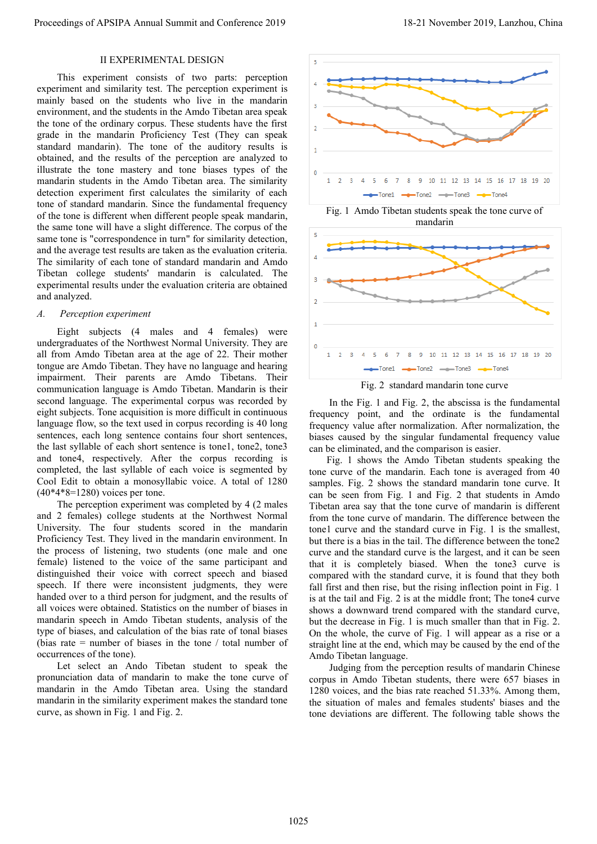# II EXPERIMENTAL DESIGN

This experiment consists of two parts: perception experiment and similarity test. The perception experiment is mainly based on the students who live in the mandarin environment, and the students in the Amdo Tibetan area speak the tone of the ordinary corpus. These students have the first grade in the mandarin Proficiency Test (They can speak standard mandarin). The tone of the auditory results is obtained, and the results of the perception are analyzed to illustrate the tone mastery and tone biases types of the mandarin students in the Amdo Tibetan area. The similarity detection experiment first calculates the similarity of each tone of standard mandarin. Since the fundamental frequency of the tone is different when different people speak mandarin, the same tone will have a slight difference. The corpus of the same tone is "correspondence in turn" for similarity detection, and the average test results are taken as the evaluation criteria. The similarity of each tone of standard mandarin and Amdo Tibetan college students' mandarin is calculated. The experimental results under the evaluation criteria are obtained and analyzed. Proceeding of APSIPA Annual Summit and Conference 2019<br>
This suppress us a conference 2019 11 and 2019 11 and 2019 11 and 2019 11 and 2019 11 and 2019 11 and 2019 11 and 2019 11 and 2019 11 and 2019 11 and 2019 11 and 201

### *A. Perception experiment*

Eight subjects (4 males and 4 females) were undergraduates of the Northwest Normal University. They are all from Amdo Tibetan area at the age of 22. Their mother tongue are Amdo Tibetan. They have no language and hearing impairment. Their parents are Amdo Tibetans. Their communication language is Amdo Tibetan. Mandarin is their second language. The experimental corpus was recorded by eight subjects. Tone acquisition is more difficult in continuous language flow, so the text used in corpus recording is 40 long sentences, each long sentence contains four short sentences, the last syllable of each short sentence is tone1, tone2, tone3 and tone4, respectively. After the corpus recording is completed, the last syllable of each voice is segmented by Cool Edit to obtain a monosyllabic voice. A total of 1280  $(40*4*8=1280)$  voices per tone.

The perception experiment was completed by 4 (2 males and 2 females) college students at the Northwest Normal University. The four students scored in the mandarin Proficiency Test. They lived in the mandarin environment. In the process of listening, two students (one male and one female) listened to the voice of the same participant and distinguished their voice with correct speech and biased speech. If there were inconsistent judgments, they were handed over to a third person for judgment, and the results of all voices were obtained. Statistics on the number of biases in mandarin speech in Amdo Tibetan students, analysis of the type of biases, and calculation of the bias rate of tonal biases (bias rate = number of biases in the tone / total number of occurrences of the tone).

Let select an Ando Tibetan student to speak the pronunciation data of mandarin to make the tone curve of mandarin in the Amdo Tibetan area. Using the standard mandarin in the similarity experiment makes the standard tone curve, as shown in Fig. 1 and Fig. 2.







Fig. 2 standard mandarin tone curve

In the Fig. 1 and Fig. 2, the abscissa is the fundamental frequency point, and the ordinate is the fundamental frequency value after normalization. After normalization, the biases caused by the singular fundamental frequency value can be eliminated, and the comparison is easier.

 Fig. 1 shows the Amdo Tibetan students speaking the tone curve of the mandarin. Each tone is averaged from 40 samples. Fig. 2 shows the standard mandarin tone curve. It can be seen from Fig. 1 and Fig. 2 that students in Amdo Tibetan area say that the tone curve of mandarin is different from the tone curve of mandarin. The difference between the tone1 curve and the standard curve in Fig. 1 is the smallest, but there is a bias in the tail. The difference between the tone2 curve and the standard curve is the largest, and it can be seen that it is completely biased. When the tone3 curve is compared with the standard curve, it is found that they both fall first and then rise, but the rising inflection point in Fig. 1 is at the tail and Fig. 2 is at the middle front; The tone4 curve shows a downward trend compared with the standard curve, but the decrease in Fig. 1 is much smaller than that in Fig. 2. On the whole, the curve of Fig. 1 will appear as a rise or a straight line at the end, which may be caused by the end of the Amdo Tibetan language.

Judging from the perception results of mandarin Chinese corpus in Amdo Tibetan students, there were 657 biases in 1280 voices, and the bias rate reached 51.33%. Among them, the situation of males and females students' biases and the tone deviations are different. The following table shows the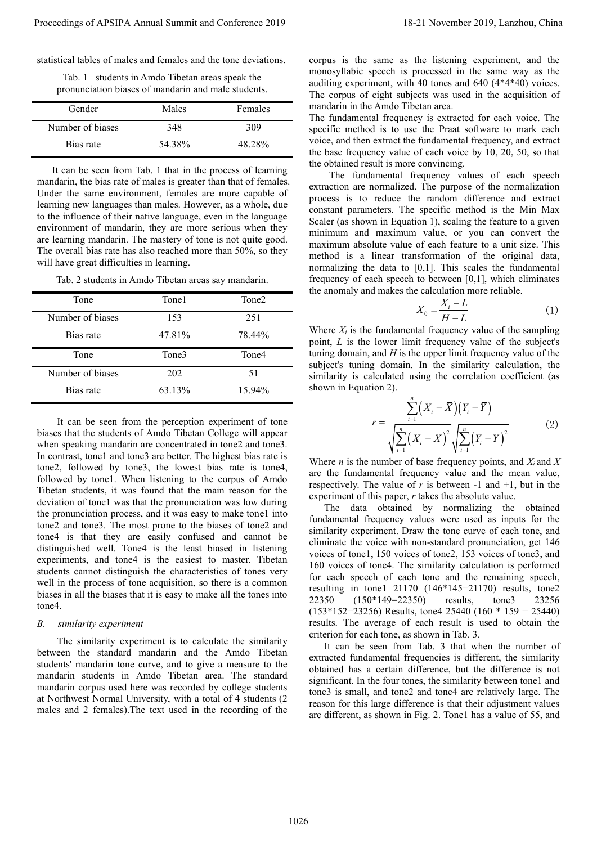statistical tables of males and females and the tone deviations.

Tab. 1 students in Amdo Tibetan areas speak the pronunciation biases of mandarin and male students.

| Gender           | Males  | Females |
|------------------|--------|---------|
| Number of biases | 348    | 309     |
| Bias rate        | 54.38% | 48.28%  |

It can be seen from Tab. 1 that in the process of learning mandarin, the bias rate of males is greater than that of females. Under the same environment, females are more capable of learning new languages than males. However, as a whole, due to the influence of their native language, even in the language environment of mandarin, they are more serious when they are learning mandarin. The mastery of tone is not quite good. The overall bias rate has also reached more than 50%, so they will have great difficulties in learning.

Tab. 2 students in Amdo Tibetan areas say mandarin.

| Tone             | Tone1  | Tone <sub>2</sub> |  |
|------------------|--------|-------------------|--|
| Number of biases | 153    | 251               |  |
| Bias rate        | 47.81% | 78.44%            |  |
|                  |        |                   |  |
| Tone             | Tone3  | Tone4             |  |
| Number of biases | 202    | 51                |  |

It can be seen from the perception experiment of tone biases that the students of Amdo Tibetan College will appear when speaking mandarin are concentrated in tone2 and tone3. In contrast, tone1 and tone3 are better. The highest bias rate is tone2, followed by tone3, the lowest bias rate is tone4, followed by tone1. When listening to the corpus of Amdo Tibetan students, it was found that the main reason for the deviation of tone1 was that the pronunciation was low during the pronunciation process, and it was easy to make tone1 into tone2 and tone3. The most prone to the biases of tone2 and tone4 is that they are easily confused and cannot be distinguished well. Tone4 is the least biased in listening experiments, and tone4 is the easiest to master. Tibetan students cannot distinguish the characteristics of tones very well in the process of tone acquisition, so there is a common biases in all the biases that it is easy to make all the tones into tone4. Proceedings of APSIPA Annual Summit and Conference 2019<br>
and the china conference 2019 in the china conference 2019 in the china conference 2019 in the conference 2019<br>
The china conference 2019 in the china conference 20

## *B. similarity experiment*

The similarity experiment is to calculate the similarity between the standard mandarin and the Amdo Tibetan students' mandarin tone curve, and to give a measure to the mandarin students in Amdo Tibetan area. The standard mandarin corpus used here was recorded by college students at Northwest Normal University, with a total of 4 students (2 males and 2 females).The text used in the recording of the corpus is the same as the listening experiment, and the monosyllabic speech is processed in the same way as the auditing experiment, with 40 tones and 640 (4\*4\*40) voices. The corpus of eight subjects was used in the acquisition of mandarin in the Amdo Tibetan area.

The fundamental frequency is extracted for each voice. The specific method is to use the Praat software to mark each voice, and then extract the fundamental frequency, and extract the base frequency value of each voice by 10, 20, 50, so that the obtained result is more convincing.

The fundamental frequency values of each speech extraction are normalized. The purpose of the normalization process is to reduce the random difference and extract constant parameters. The specific method is the Min Max Scaler (as shown in Equation 1), scaling the feature to a given minimum and maximum value, or you can convert the maximum absolute value of each feature to a unit size. This method is a linear transformation of the original data, normalizing the data to [0,1]. This scales the fundamental frequency of each speech to between [0,1], which eliminates the anomaly and makes the calculation more reliable.

$$
X_0 = \frac{X_i - L}{H - L} \tag{1}
$$

Where  $X_i$  is the fundamental frequency value of the sampling point, *L* is the lower limit frequency value of the subject's tuning domain, and *H* is the upper limit frequency value of the subject's tuning domain. In the similarity calculation, the similarity is calculated using the correlation coefficient (as shown in Equation 2).

$$
r = \frac{\sum_{i=1}^{n} (X_i - \overline{X})(Y_i - \overline{Y})}{\sqrt{\sum_{i=1}^{n} (X_i - \overline{X})^2} \sqrt{\sum_{i=1}^{n} (Y_i - \overline{Y})^2}}
$$
(2)

Where *n* is the number of base frequency points, and  $X_i$  and  $X$ are the fundamental frequency value and the mean value, respectively. The value of  $r$  is between -1 and  $+1$ , but in the experiment of this paper, *r* takes the absolute value.

The data obtained by normalizing the obtained fundamental frequency values were used as inputs for the similarity experiment. Draw the tone curve of each tone, and eliminate the voice with non-standard pronunciation, get 146 voices of tone1, 150 voices of tone2, 153 voices of tone3, and 160 voices of tone4. The similarity calculation is performed for each speech of each tone and the remaining speech, resulting in tone1 21170 (146\*145=21170) results, tone2 22350 (150\*149=22350) results, tone3 23256  $(153*152=23256)$  Results, tone4 25440  $(160 * 159 = 25440)$ results. The average of each result is used to obtain the criterion for each tone, as shown in Tab. 3.

It can be seen from Tab. 3 that when the number of extracted fundamental frequencies is different, the similarity obtained has a certain difference, but the difference is not significant. In the four tones, the similarity between tone1 and tone3 is small, and tone2 and tone4 are relatively large. The reason for this large difference is that their adjustment values are different, as shown in Fig. 2. Tone1 has a value of 55, and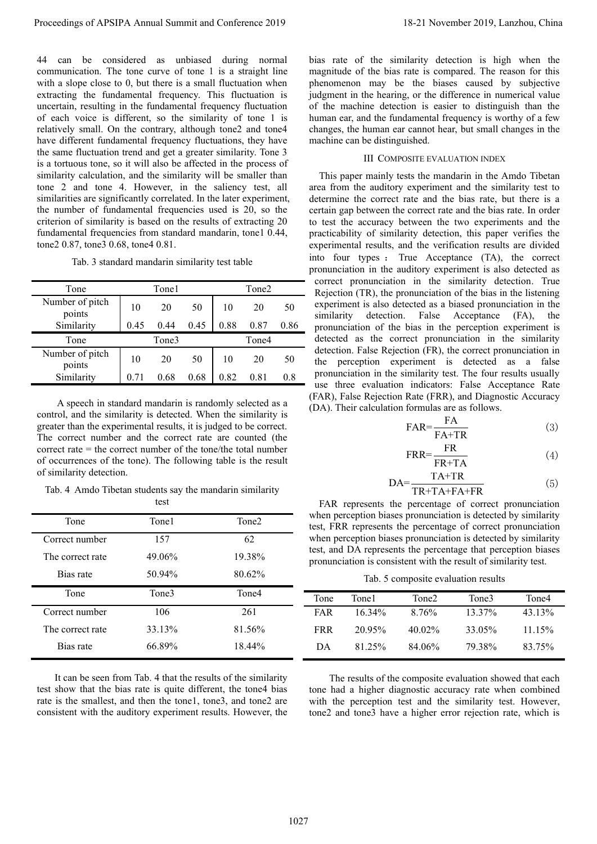44 can be considered as unbiased during normal communication. The tone curve of tone 1 is a straight line with a slope close to 0, but there is a small fluctuation when extracting the fundamental frequency. This fluctuation is uncertain, resulting in the fundamental frequency fluctuation of each voice is different, so the similarity of tone 1 is relatively small. On the contrary, although tone2 and tone4 have different fundamental frequency fluctuations, they have the same fluctuation trend and get a greater similarity. Tone 3 is a tortuous tone, so it will also be affected in the process of similarity calculation, and the similarity will be smaller than tone 2 and tone 4. However, in the saliency test, all similarities are significantly correlated. In the later experiment, the number of fundamental frequencies used is 20, so the criterion of similarity is based on the results of extracting 20 fundamental frequencies from standard mandarin, tone1 0.44, tone2 0.87, tone3 0.68, tone4 0.81.

Tab. 3 standard mandarin similarity test table

| Tone                      | Tone1 |      | Tone2 |      |      |      |
|---------------------------|-------|------|-------|------|------|------|
| Number of pitch<br>points | 10    | 20   | 50    | 10   | 20   | 50   |
| Similarity                | 0.45  | 0.44 | 0.45  | 0.88 | 0.87 | 0.86 |
| Tone                      | Tone3 |      | Tone4 |      |      |      |
| Number of pitch<br>points | 10    | 20   | 50    | 10   | 20   | 50   |
| Similarity                |       | 0.68 | 0.68  | 0.82 | 0.81 | 0.8  |

A speech in standard mandarin is randomly selected as a control, and the similarity is detected. When the similarity is greater than the experimental results, it is judged to be correct. The correct number and the correct rate are counted (the correct rate = the correct number of the tone/the total number of occurrences of the tone). The following table is the result of similarity detection.

Tab. 4 Amdo Tibetan students say the mandarin similarity

| test             |        |                   |  |
|------------------|--------|-------------------|--|
| Tone             | Tone1  | Tone <sub>2</sub> |  |
| Correct number   | 157    | 62                |  |
| The correct rate | 49.06% | 19.38%            |  |
| Bias rate        | 50.94% | 80.62%            |  |
| Tone             | Tone3  | Tone4             |  |
| Correct number   | 106    | 261               |  |
| The correct rate | 33.13% | 81.56%            |  |
| Bias rate        | 66.89% | 18.44%            |  |

 It can be seen from Tab. 4 that the results of the similarity test show that the bias rate is quite different, the tone4 bias rate is the smallest, and then the tone1, tone3, and tone2 are consistent with the auditory experiment results. However, the

bias rate of the similarity detection is high when the magnitude of the bias rate is compared. The reason for this phenomenon may be the biases caused by subjective judgment in the hearing, or the difference in numerical value of the machine detection is easier to distinguish than the human ear, and the fundamental frequency is worthy of a few changes, the human ear cannot hear, but small changes in the machine can be distinguished.

## III COMPOSITE EVALUATION INDEX

This paper mainly tests the mandarin in the Amdo Tibetan area from the auditory experiment and the similarity test to determine the correct rate and the bias rate, but there is a certain gap between the correct rate and the bias rate. In order to test the accuracy between the two experiments and the practicability of similarity detection, this paper verifies the experimental results, and the verification results are divided into four types : True Acceptance (TA), the correct pronunciation in the auditory experiment is also detected as correct pronunciation in the similarity detection. True Rejection (TR), the pronunciation of the bias in the listening experiment is also detected as a biased pronunciation in the similarity detection. False Acceptance (FA), the pronunciation of the bias in the perception experiment is detected as the correct pronunciation in the similarity detection. False Rejection (FR), the correct pronunciation in the perception experiment is detected as a false pronunciation in the similarity test. The four results usually use three evaluation indicators: False Acceptance Rate (FAR), False Rejection Rate (FRR), and Diagnostic Accuracy (DA). Their calculation formulas are as follows. Proceedings of APSIPA Annual Summit and Conference 2019<br>
at most transformation of the summit and conference 2019 in the summit and conference 2019 in the summit and conference 2019 in the summit and conference 2019 in th

$$
FAR = \frac{FA}{FA + TR}
$$
 (3)

$$
FRR = \frac{FR}{FR + TA}
$$
 (4)

$$
DA = \frac{TA + TR}{TR + TA + FA + FR}
$$
 (5)

FAR represents the percentage of correct pronunciation when perception biases pronunciation is detected by similarity test, FRR represents the percentage of correct pronunciation when perception biases pronunciation is detected by similarity test, and DA represents the percentage that perception biases pronunciation is consistent with the result of similarity test.

Tab. 5 composite evaluation results

| Tone | Tone1     | Tone2  | Tone3  | Tone4  |
|------|-----------|--------|--------|--------|
| FAR  | $16.34\%$ | 8.76%  | 13.37% | 43.13% |
| FRR  | 20.95%    | 40.02% | 33.05% | 11.15% |
| DA   | 81.25%    | 84.06% | 79.38% | 83.75% |

The results of the composite evaluation showed that each tone had a higher diagnostic accuracy rate when combined with the perception test and the similarity test. However, tone2 and tone3 have a higher error rejection rate, which is